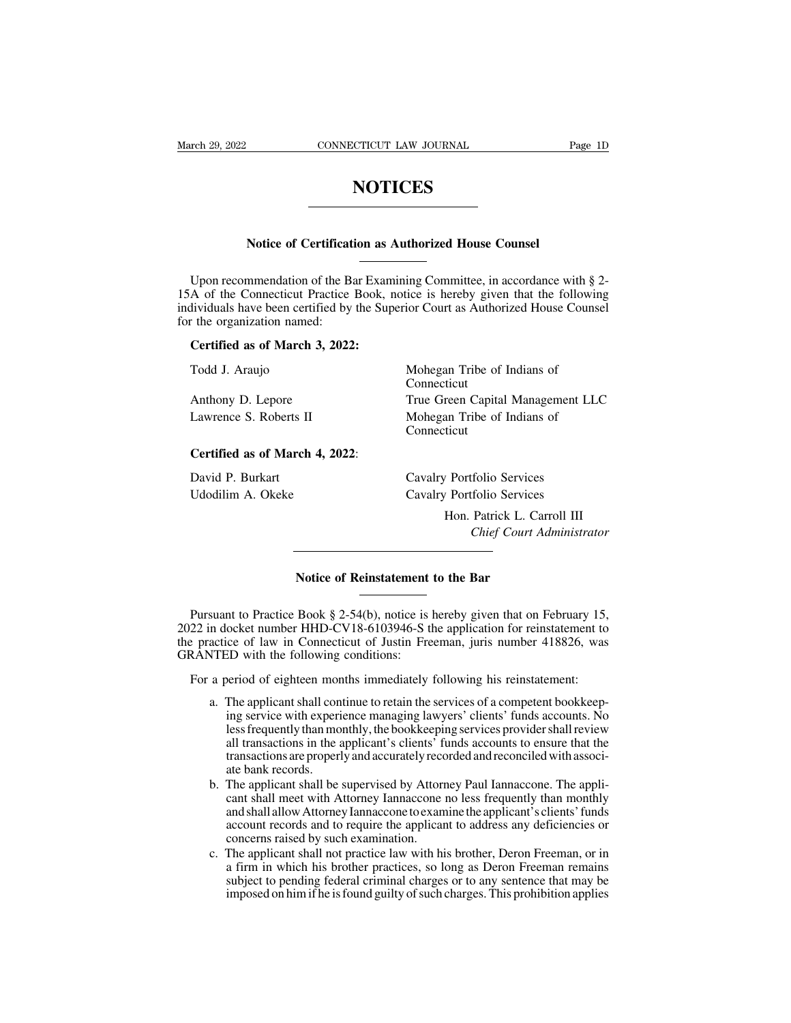# **NOTICES**

# **NOTICES**<br>
Notice of Certification as Authorized House Counsel

NUITCES<br>
Notice of Certification as Authorized House Counsel<br>
Upon recommendation of the Bar Examining Committee, in accordance with § 2-<br>
A of the Connecticut Practice Book, notice is hereby given that the following<br>
divi Notice of Certification as Authorized House Counsel<br>
Upon recommendation of the Bar Examining Committee, in accordance with § 2-<br>
15A of the Connecticut Practice Book, notice is hereby given that the following<br>
individuals Notice of Certification as Authorized House Counsel<br>Upon recommendation of the Bar Examining Committee, in accordance with § 2-<br>15A of the Connecticut Practice Book, notice is hereby given that the following<br>individuals ha Notice of Certificati<br>Upon recommendation of the Ba<br>15A of the Connecticut Practice<br>individuals have been certified by<br>for the organization named:<br>Certified as of March 3, 2022 Upon recommendation of the Bar Examination<br>
A of the Connecticut Practice Book, not<br>
dividuals have been certified by the Supe<br>
the organization named:<br>
Certified as of March 3, 2022:<br>
Todd J. Araujo Upon recommendation of the Bar Examining Committee, in accordance with §<br>
A of the Connecticut Practice Book, notice is hereby given that the followir<br>
ilividuals have been certified by the Superior Court as Authorized Hou

Todd J. Araujo<br>Anthony D. Lepore<br>Lawrence S. Roberts II<br>Certified as of March 4, 2022:<br>David P. Burkart

Connecticut Inviduals have been certified by the Superior Court as Authorized House Counsel<br>
The organization named:<br> **Certified as of March 3, 2022:**<br>
Todd J. Araujo Mohegan Tribe of Indians of<br>
Connecticut<br>
Anthony D. Lepore True Gr Certified as of March 3, 2022:<br>
Todd J. Araujo<br>
Mohegan Tribe of Indians of<br>
Connecticut<br>
Anthony D. Lepore<br>
Lawrence S. Roberts II Mohegan Tribe of Indians of<br>
Connecticut<br>
Connecticut<br>
Connecticut<br>
Connecticut Connecticut Anthony D. Lepore<br>
Lawrence S. Roberts II Mohegan Tribe of Indians of<br>
Connecticut<br>
Certified as of March 4, 2022:<br>
David P. Burkart Cavalry Portfolio Services<br>
Udodilim A. Okeke Example 11 Cavalry D. Eepote<br>
Lawrence S. Roberts II Mohegan Tribe of Indians of<br>
Connecticut<br>
Certified as of March 4, 2022:<br>
David P. Burkart Cavalry Portfolio Services<br>
Udodilim A. Okeke Cavalry Portfolio Services<br>
Hon.

Transferences<br>
Territorial Services<br>
Hon. Patrick L. Carroll III<br>
Chief Court Administrator **Chief Court Court Administrator**<br> **Chief Court Administrator** Cavalry Portfolio Services<br>
Hon. Patrick L. Ca<br>
Chief Court A<br>
Notice of Reinstatement to the Bar

Chief Court Administrator<br>
Notice of Reinstatement to the Bar<br>
Pursuant to Practice Book § 2-54(b), notice is hereby given that on February 15,<br>
22 in docket number HHD-CV18-6103946-S the application for reinstatement to<br> 2022 in docket number HHD-CV18-6103946-S the application for reinstatement to the practice Book § 2-54(b), notice is hereby given that on February 15, and docket number HHD-CV18-6103946-S the application for reinstatement **Notice of Reinstatement to the Bar**<br>
Pursuant to Practice Book § 2-54(b), notice is hereby given that on February 15,<br>
2022 in docket number HHD-CV18-6103946-S the application for reinstatement to<br>
the practice of law in **Solution Notice of Reinstatement**<br>
Fursuant to Practice Book § 2-54(b), notice is 1<br>
2022 in docket number HHD-CV18-6103946-S the<br>
the practice of law in Connecticut of Justin Fre<br>
GRANTED with the following conditions:<br> Pursuant to Practice Book § 2-54(b), notice is hereby given that on February 15,<br>22 in docket number HHD-CV18-6103946-S the application for reinstatement to<br>e practice of law in Connecticut of Justin Freeman, juris number suant to Practice Book § 2-54(b), notice is hereby given that on February 15,<br>n docket number HHD-CV18-6103946-S the application for reinstatement to<br>actice of law in Connecticut of Justin Freeman, juris number 418826, wa

- ocket number HHD-CV18-6103946-S the application for reinstatement to<br>ice of law in Connecticut of Justin Freeman, juris number 418826, was<br>ED with the following conditions:<br>veriod of eighteen months immediately following h ice of law in Connecticut of Justin Freeman, juris number 418826, was<br>ED with the following conditions:<br>Deriod of eighteen months immediately following his reinstatement:<br>The applicant shall continue to retain the services ED with the following conditions:<br>
beriod of eighteen months immediately following his reinstatement:<br>
The applicant shall continue to retain the services of a competent bookkeep-<br>
ing service with experience managing lawy beriod of eighteen months immediately following his reinstatement:<br>The applicant shall continue to retain the services of a competent bookkeep-<br>ing service with experience managing lawyers' clients' funds accounts. No<br>less beriod of eighteen mor<br>The applicant shall con<br>ing service with experi<br>less frequently than mo<br>all transactions in the a<br>transactions are properl<br>ate bank records.<br>The applicant shall be<br>cant shall meet with A a. The applicant shall continue to retain the services of a competent bookkeeping service with experience managing lawyers' clients' funds accounts. No less frequently than monthly, the bookkeeping services provider shall The applicant shall contained to cleant the services of a completent cooline-<br>ing service with experience managing lawyers' clients' funds accounts. No<br>less frequently than monthly, the bookkeeping services provider shall
- and shall allow Attorney Iannaccone to examine the applicant's clients' funds account records and to require the applicant to address any deficiencies or restance and the applicant of the applicant of the applicant shall transactions are properly and accurately recorded and reconciled with associate bank records.<br>The applicant shall be supervised by Attorney Paul Iannaccone an dansactions in the applicant s chemes To<br>transactions are properly and accurately recc<br>ate bank records.<br>The applicant shall be supervised by Attorr<br>cant shall meet with Attorney Iannaccone to exam<br>account records and t ate bank records.<br>
h. The applicant shall be supervised by Attorney Paul Iannaccone. The applicant shall meet with Attorney Iannaccone no less frequently than monthly and shall allow Attorney Iannaccone to examine the appl The applicant shall be supervised by Attorney Paul Iannaccone. The applicant shall meet with Attorney Iannaccone no less frequently than monthly and shall allow Attorney Iannaccone to examine the applicant's clients' funds The applicant shall neet with Attorney Januarcone no less frequently than monthly and shall allow Attorney Iannaccone to examine the applicant's clients' funds account records and to require the applicant to address any de
- and shall allow Attorney Jamaceone to examine the applicant's clients' funds account records and to require the applicant to address any deficiencies or concerns raised by such examination.<br>The applicant shall not practice